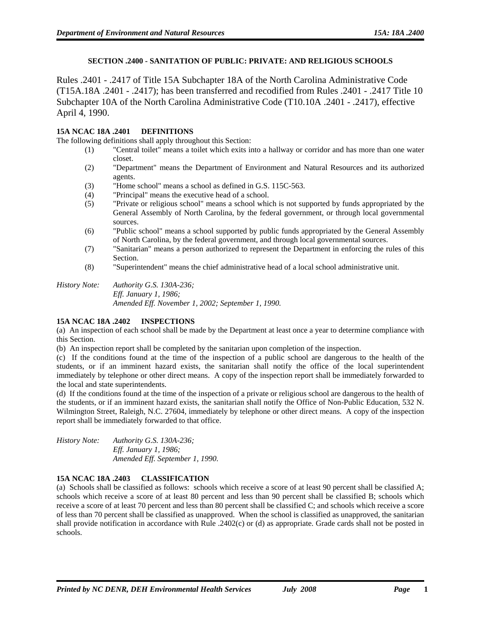## **SECTION .2400 - SANITATION OF PUBLIC: PRIVATE: AND RELIGIOUS SCHOOLS**

Rules .2401 - .2417 of Title 15A Subchapter 18A of the North Carolina Administrative Code (T15A.18A .2401 - .2417); has been transferred and recodified from Rules .2401 - .2417 Title 10 Subchapter 10A of the North Carolina Administrative Code (T10.10A .2401 - .2417), effective April 4, 1990.

## **15A NCAC 18A .2401 DEFINITIONS**

The following definitions shall apply throughout this Section:

- (1) "Central toilet" means a toilet which exits into a hallway or corridor and has more than one water closet.
- (2) "Department" means the Department of Environment and Natural Resources and its authorized agents.
- (3) "Home school" means a school as defined in G.S. 115C-563.
- (4) "Principal" means the executive head of a school.
- (5) "Private or religious school" means a school which is not supported by funds appropriated by the General Assembly of North Carolina, by the federal government, or through local governmental sources.
- (6) "Public school" means a school supported by public funds appropriated by the General Assembly of North Carolina, by the federal government, and through local governmental sources.
- (7) "Sanitarian" means a person authorized to represent the Department in enforcing the rules of this Section.
- (8) "Superintendent" means the chief administrative head of a local school administrative unit.

### *History Note: Authority G.S. 130A-236; Eff. January 1, 1986; Amended Eff. November 1, 2002; September 1, 1990.*

## **15A NCAC 18A .2402 INSPECTIONS**

(a) An inspection of each school shall be made by the Department at least once a year to determine compliance with this Section.

(b) An inspection report shall be completed by the sanitarian upon completion of the inspection.

(c) If the conditions found at the time of the inspection of a public school are dangerous to the health of the students, or if an imminent hazard exists, the sanitarian shall notify the office of the local superintendent immediately by telephone or other direct means. A copy of the inspection report shall be immediately forwarded to the local and state superintendents.

(d) If the conditions found at the time of the inspection of a private or religious school are dangerous to the health of the students, or if an imminent hazard exists, the sanitarian shall notify the Office of Non-Public Education, 532 N. Wilmington Street, Raleigh, N.C. 27604, immediately by telephone or other direct means. A copy of the inspection report shall be immediately forwarded to that office.

| <i>History Note:</i> | Authority G.S. 130A-236;        |
|----------------------|---------------------------------|
|                      | <i>Eff. January 1, 1986;</i>    |
|                      | Amended Eff. September 1, 1990. |

# **15A NCAC 18A .2403 CLASSIFICATION**

(a) Schools shall be classified as follows: schools which receive a score of at least 90 percent shall be classified A; schools which receive a score of at least 80 percent and less than 90 percent shall be classified B; schools which receive a score of at least 70 percent and less than 80 percent shall be classified C; and schools which receive a score of less than 70 percent shall be classified as unapproved. When the school is classified as unapproved, the sanitarian shall provide notification in accordance with Rule .2402(c) or (d) as appropriate. Grade cards shall not be posted in schools.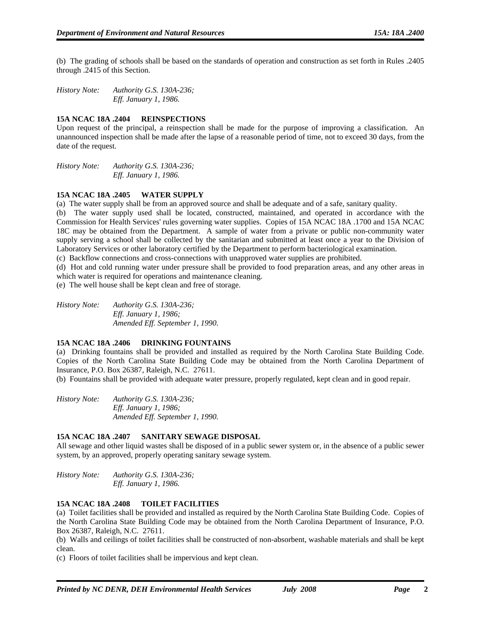(b) The grading of schools shall be based on the standards of operation and construction as set forth in Rules .2405 through .2415 of this Section.

*History Note: Authority G.S. 130A-236; Eff. January 1, 1986.* 

## **15A NCAC 18A .2404 REINSPECTIONS**

Upon request of the principal, a reinspection shall be made for the purpose of improving a classification. An unannounced inspection shall be made after the lapse of a reasonable period of time, not to exceed 30 days, from the date of the request.

*History Note: Authority G.S. 130A-236; Eff. January 1, 1986.* 

## **15A NCAC 18A .2405 WATER SUPPLY**

(a) The water supply shall be from an approved source and shall be adequate and of a safe, sanitary quality.

(b) The water supply used shall be located, constructed, maintained, and operated in accordance with the Commission for Health Services' rules governing water supplies. Copies of 15A NCAC 18A .1700 and 15A NCAC 18C may be obtained from the Department. A sample of water from a private or public non-community water supply serving a school shall be collected by the sanitarian and submitted at least once a year to the Division of Laboratory Services or other laboratory certified by the Department to perform bacteriological examination.

(c) Backflow connections and cross-connections with unapproved water supplies are prohibited.

(d) Hot and cold running water under pressure shall be provided to food preparation areas, and any other areas in which water is required for operations and maintenance cleaning.

(e) The well house shall be kept clean and free of storage.

*History Note: Authority G.S. 130A-236; Eff. January 1, 1986; Amended Eff. September 1, 1990.* 

## **15A NCAC 18A .2406 DRINKING FOUNTAINS**

(a) Drinking fountains shall be provided and installed as required by the North Carolina State Building Code. Copies of the North Carolina State Building Code may be obtained from the North Carolina Department of Insurance, P.O. Box 26387, Raleigh, N.C. 27611.

(b) Fountains shall be provided with adequate water pressure, properly regulated, kept clean and in good repair.

*History Note: Authority G.S. 130A-236; Eff. January 1, 1986; Amended Eff. September 1, 1990.* 

## **15A NCAC 18A .2407 SANITARY SEWAGE DISPOSAL**

All sewage and other liquid wastes shall be disposed of in a public sewer system or, in the absence of a public sewer system, by an approved, properly operating sanitary sewage system.

*History Note: Authority G.S. 130A-236; Eff. January 1, 1986.* 

## **15A NCAC 18A .2408 TOILET FACILITIES**

(a) Toilet facilities shall be provided and installed as required by the North Carolina State Building Code. Copies of the North Carolina State Building Code may be obtained from the North Carolina Department of Insurance, P.O. Box 26387, Raleigh, N.C. 27611.

(b) Walls and ceilings of toilet facilities shall be constructed of non-absorbent, washable materials and shall be kept clean.

(c) Floors of toilet facilities shall be impervious and kept clean.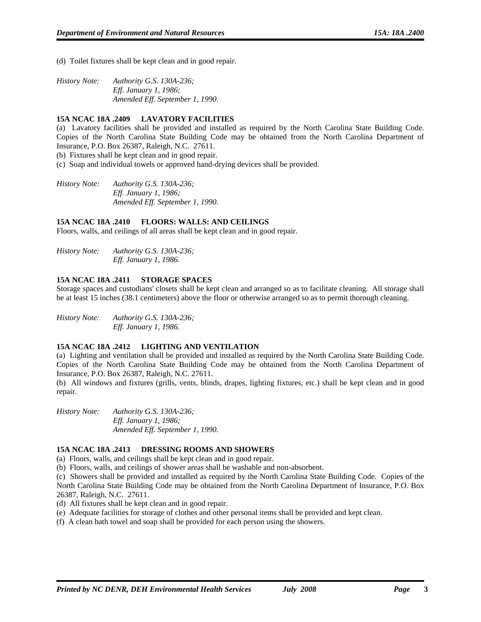(d) Toilet fixtures shall be kept clean and in good repair.

| <i>History Note:</i> | Authority G.S. 130A-236;        |
|----------------------|---------------------------------|
|                      | <i>Eff. January 1, 1986;</i>    |
|                      | Amended Eff. September 1, 1990. |

#### **15A NCAC 18A .2409 LAVATORY FACILITIES**

(a) Lavatory facilities shall be provided and installed as required by the North Carolina State Building Code. Copies of the North Carolina State Building Code may be obtained from the North Carolina Department of Insurance, P.O. Box 26387, Raleigh, N.C. 27611.

(b) Fixtures shall be kept clean and in good repair.

(c) Soap and individual towels or approved hand-drying devices shall be provided.

*History Note: Authority G.S. 130A-236; Eff. January 1, 1986; Amended Eff. September 1, 1990.* 

#### **15A NCAC 18A .2410 FLOORS: WALLS: AND CEILINGS**

Floors, walls, and ceilings of all areas shall be kept clean and in good repair.

*History Note: Authority G.S. 130A-236; Eff. January 1, 1986.* 

## **15A NCAC 18A .2411 STORAGE SPACES**

Storage spaces and custodians' closets shall be kept clean and arranged so as to facilitate cleaning. All storage shall be at least 15 inches (38.1 centimeters) above the floor or otherwise arranged so as to permit thorough cleaning.

*History Note: Authority G.S. 130A-236; Eff. January 1, 1986.* 

#### **15A NCAC 18A .2412 LIGHTING AND VENTILATION**

(a) Lighting and ventilation shall be provided and installed as required by the North Carolina State Building Code. Copies of the North Carolina State Building Code may be obtained from the North Carolina Department of Insurance, P.O. Box 26387, Raleigh, N.C. 27611.

(b) All windows and fixtures (grills, vents, blinds, drapes, lighting fixtures, etc.) shall be kept clean and in good repair.

*History Note: Authority G.S. 130A-236; Eff. January 1, 1986; Amended Eff. September 1, 1990.* 

## **15A NCAC 18A .2413 DRESSING ROOMS AND SHOWERS**

(a) Floors, walls, and ceilings shall be kept clean and in good repair.

(b) Floors, walls, and ceilings of shower areas shall be washable and non-absorbent.

(c) Showers shall be provided and installed as required by the North Carolina State Building Code. Copies of the North Carolina State Building Code may be obtained from the North Carolina Department of Insurance, P.O. Box 26387, Raleigh, N.C. 27611.

(d) All fixtures shall be kept clean and in good repair.

(e) Adequate facilities for storage of clothes and other personal items shall be provided and kept clean.

(f) A clean bath towel and soap shall be provided for each person using the showers.